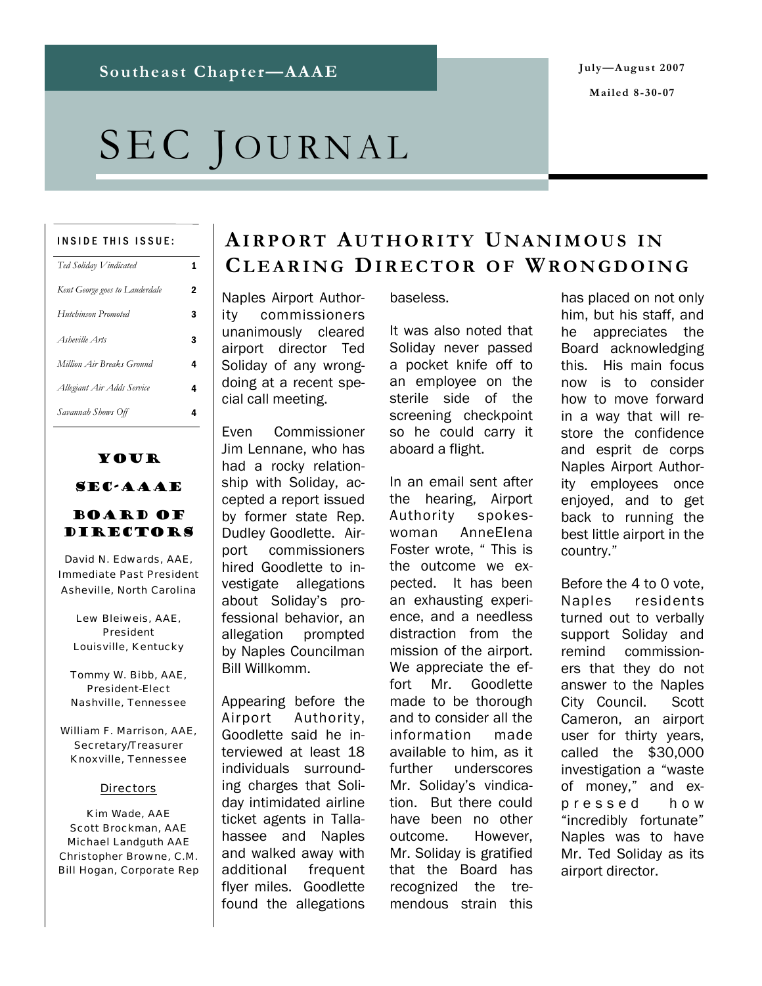# SEC JOURNAL

#### INSIDE THIS ISSUE:

| Ted Soliday Vindicated         | 1 |
|--------------------------------|---|
| Kent George goes to Lauderdale | 2 |
| <b>Hutchinson Promoted</b>     | 3 |
| Asheville Arts                 | 3 |
| Million Air Breaks Ground      | 4 |
| Allegiant Air Adds Service     | 4 |
| Savannah Shows Off             |   |

## Your SEC-AAAE

### Board of DIRECTORS

David N. Edwards, AAE, Immediate Past President Asheville, North Carolina

Lew Bleiweis, AAE, President Louisville, Kentucky

Tommy W. Bibb, AAE, President-Elect Nashville, Tennessee

William F. Marrison, AAE, Secretary/Treasurer Knoxville, Tennessee

#### **Directors**

Kim Wade, AAE Scott Brockman, AAE Michael Landguth AAE Christopher Browne, C.M. Bill Hogan, Corporate Rep **AIRPORT AUTHORITY U NANIMOUS I N CLEARING DIRECTOR OF WRONGDOING** 

Naples Airport Authority commissioners unanimously cleared airport director Ted Soliday of any wrongdoing at a recent special call meeting.

Even Commissioner Jim Lennane, who has had a rocky relationship with Soliday, accepted a report issued by former state Rep. Dudley Goodlette. Airport commissioners hired Goodlette to investigate allegations about Soliday's professional behavior, an allegation prompted by Naples Councilman Bill Willkomm.

Appearing before the Airport Authority, Goodlette said he interviewed at least 18 individuals surrounding charges that Soliday intimidated airline ticket agents in Tallahassee and Naples and walked away with additional frequent flyer miles. Goodlette found the allegations

baseless.

It was also noted that Soliday never passed a pocket knife off to an employee on the sterile side of the screening checkpoint so he could carry it aboard a flight.

In an email sent after the hearing, Airport Authority spokeswoman AnneElena Foster wrote, "This is the outcome we expected. It has been an exhausting experience, and a needless distraction from the mission of the airport. We appreciate the effort Mr. Goodlette made to be thorough and to consider all the information made available to him, as it further underscores Mr. Soliday's vindication. But there could have been no other outcome. However, Mr. Soliday is gratified that the Board has recognized the tremendous strain this

has placed on not only him, but his staff, and he appreciates the Board acknowledging this. His main focus now is to consider how to move forward in a way that will restore the confidence and esprit de corps Naples Airport Authority employees once enjoyed, and to get back to running the best little airport in the country."

Before the 4 to 0 vote, Naples residents turned out to verbally support Soliday and remind commissioners that they do not answer to the Naples City Council. Scott Cameron, an airport user for thirty years, called the \$30,000 investigation a "waste of money," and exp r e s s e d h o w "incredibly fortunate" Naples was to have Mr. Ted Soliday as its airport director.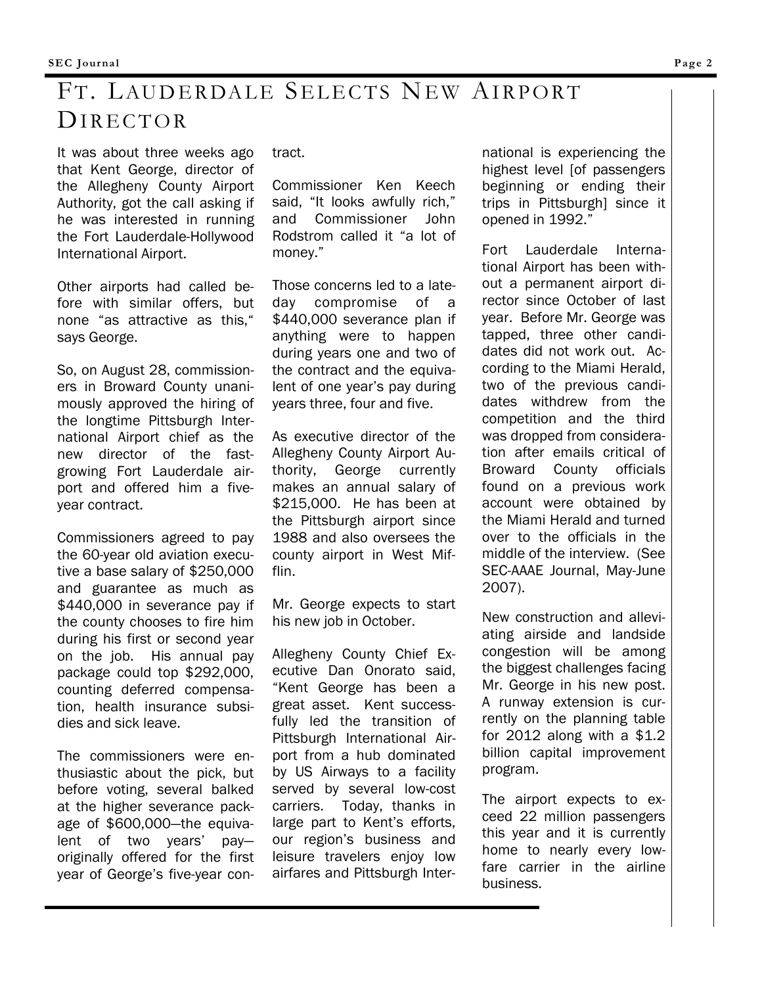# FT. LAUDERDALE SELECTS NEW AIRPORT DIRECTOR

It was about three weeks ago that Kent George, director of the Allegheny County Airport Authority, got the call asking if he was interested in running the Fort Lauderdale-Hollywood International Airport.

Other airports had called before with similar offers, but none "as attractive as this," says George.

So, on August 28, commissioners in Broward County unanimously approved the hiring of the longtime Pittsburgh International Airport chief as the new director of the fastgrowing Fort Lauderdale airport and offered him a fiveyear contract.

Commissioners agreed to pay the 60-year old aviation executive a base salary of \$250,000 and guarantee as much as \$440,000 in severance pay if the county chooses to fire him during his first or second year on the job. His annual pay package could top \$292,000, counting deferred compensation, health insurance subsidies and sick leave.

The commissioners were enthusiastic about the pick, but before voting, several balked at the higher severance package of \$600,000—the equivalent of two years' pay originally offered for the first year of George's five-year contract.

Commissioner Ken Keech said, "It looks awfully rich," and Commissioner John Rodstrom called it "a lot of money."

Those concerns led to a lateday compromise of a \$440,000 severance plan if anything were to happen during years one and two of the contract and the equivalent of one year's pay during years three, four and five.

As executive director of the Allegheny County Airport Authority, George currently makes an annual salary of \$215,000. He has been at the Pittsburgh airport since 1988 and also oversees the county airport in West Mifflin.

Mr. George expects to start his new job in October.

Allegheny County Chief Executive Dan Onorato said, "Kent George has been a great asset. Kent successfully led the transition of Pittsburgh International Airport from a hub dominated by US Airways to a facility served by several low-cost carriers. Today, thanks in large part to Kent's efforts, our region's business and leisure travelers enjoy low airfares and Pittsburgh International is experiencing the highest level [of passengers beginning or ending their trips in Pittsburgh] since it opened in 1992."

Fort Lauderdale International Airport has been without a permanent airport director since October of last year. Before Mr. George was tapped, three other candidates did not work out. According to the Miami Herald, two of the previous candidates withdrew from the competition and the third was dropped from consideration after emails critical of Broward County officials found on a previous work account were obtained by the Miami Herald and turned over to the officials in the middle of the interview. (See SEC-AAAE Journal, May-June 2007).

New construction and alleviating airside and landside congestion will be among the biggest challenges facing Mr. George in his new post. A runway extension is currently on the planning table for 2012 along with a \$1.2 billion capital improvement program.

The airport expects to exceed 22 million passengers this year and it is currently home to nearly every lowfare carrier in the airline business.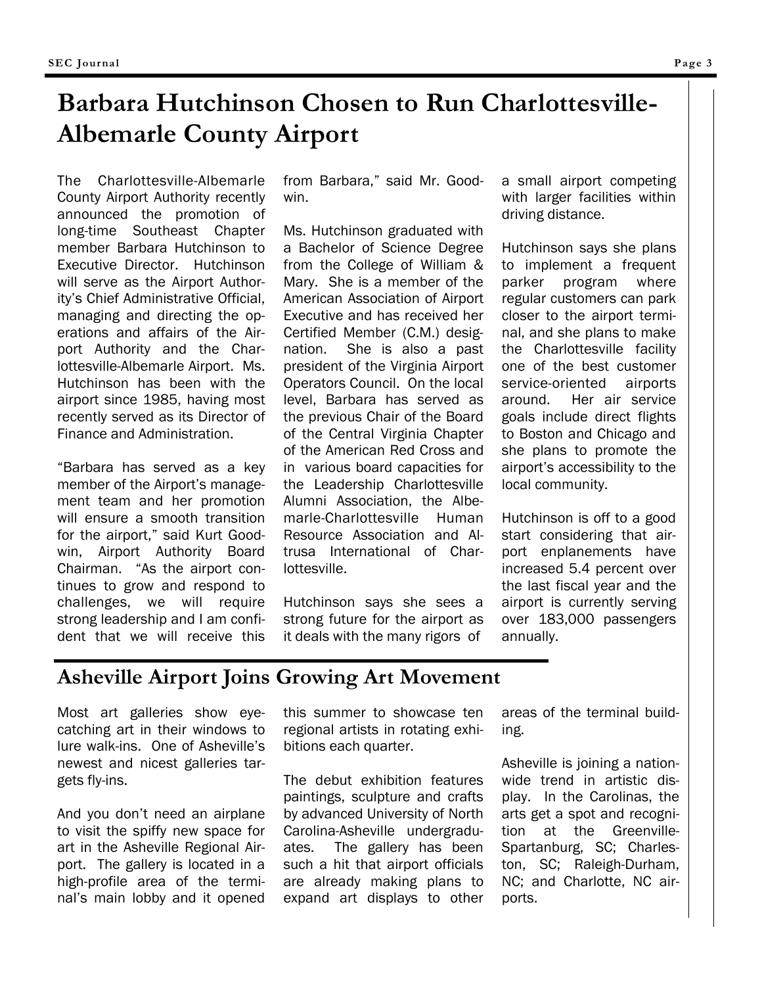# **Barbara Hutchinson Chosen to Run Charlottesville-Albemarle County Airport**

The Charlottesville-Albemarle County Airport Authority recently announced the promotion of long-time Southeast Chapter member Barbara Hutchinson to Executive Director. Hutchinson will serve as the Airport Authority's Chief Administrative Official, managing and directing the operations and affairs of the Airport Authority and the Charlottesville-Albemarle Airport. Ms. Hutchinson has been with the airport since 1985, having most recently served as its Director of Finance and Administration.

"Barbara has served as a key member of the Airport's management team and her promotion will ensure a smooth transition for the airport," said Kurt Goodwin, Airport Authority Board Chairman. "As the airport continues to grow and respond to challenges, we will require strong leadership and I am confident that we will receive this

from Barbara," said Mr. Goodwin.

Ms. Hutchinson graduated with a Bachelor of Science Degree from the College of William & Mary. She is a member of the American Association of Airport Executive and has received her Certified Member (C.M.) designation. She is also a past president of the Virginia Airport Operators Council. On the local level, Barbara has served as the previous Chair of the Board of the Central Virginia Chapter of the American Red Cross and in various board capacities for the Leadership Charlottesville Alumni Association, the Albemarle-Charlottesville Human Resource Association and Altrusa International of Charlottesville.

Hutchinson says she sees a strong future for the airport as it deals with the many rigors of

a small airport competing with larger facilities within driving distance.

Hutchinson says she plans to implement a frequent parker program where regular customers can park closer to the airport terminal, and she plans to make the Charlottesville facility one of the best customer service-oriented airports around. Her air service goals include direct flights to Boston and Chicago and she plans to promote the airport's accessibility to the local community.

Hutchinson is off to a good start considering that airport enplanements have increased 5.4 percent over the last fiscal year and the airport is currently serving over 183,000 passengers annually.

## **Asheville Airport Joins Growing Art Movement**

Most art galleries show eyecatching art in their windows to lure walk-ins. One of Asheville's newest and nicest galleries targets fly-ins.

And you don't need an airplane to visit the spiffy new space for art in the Asheville Regional Airport. The gallery is located in a high-profile area of the terminal's main lobby and it opened this summer to showcase ten regional artists in rotating exhibitions each quarter.

The debut exhibition features paintings, sculpture and crafts by advanced University of North Carolina-Asheville undergraduates. The gallery has been such a hit that airport officials are already making plans to expand art displays to other areas of the terminal building.

Asheville is joining a nationwide trend in artistic display. In the Carolinas, the arts get a spot and recognition at the Greenville-Spartanburg, SC; Charleston, SC; Raleigh-Durham, NC; and Charlotte, NC airports.